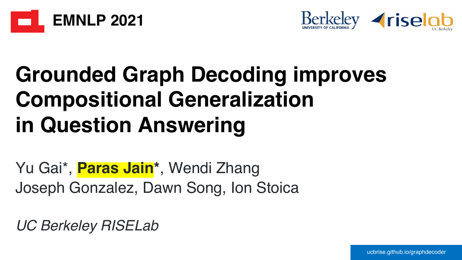



# **Grounded Graph Decoding improves Compositional Generalization in Question Answering**

Yu Gai\*, **Paras Jain\***, Wendi Zhang Joseph Gonzalez, Dawn Song, Ion Stoica

*UC Berkeley RISELab*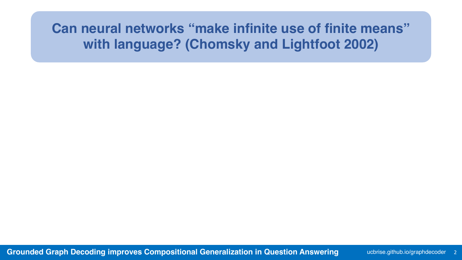### **Can neural networks "make infinite use of finite means" with language? (Chomsky and Lightfoot 2002)**

**Grounded Graph Decoding improves Compositional Generalization in Question Answering The Understand State of an I**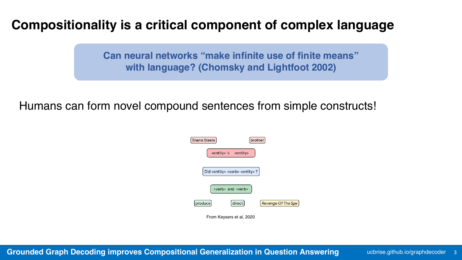#### **Compositionality is a critical component of complex language**

**Can neural networks "make infinite use of finite means" with language? (Chomsky and Lightfoot 2002)**

Humans can form novel compound sentences from simple constructs!

| <b>Shane Steele</b> |                                                        | brother            |
|---------------------|--------------------------------------------------------|--------------------|
|                     | <entity>'s <entity></entity></entity>                  |                    |
|                     | Did <entity> <verb> <entity>?</entity></verb></entity> |                    |
|                     | <verb> and <verb></verb></verb>                        |                    |
| produce             | direct                                                 | Revenge Of The Spy |
|                     | From Kevsers et al. 2020                               |                    |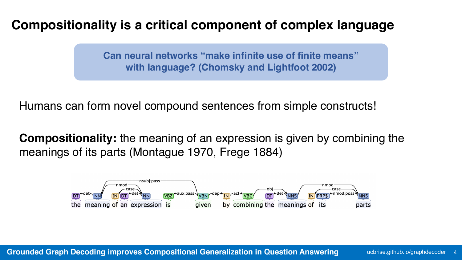#### **Compositionality is a critical component of complex language**

**Can neural networks "make infinite use of finite means" with language? (Chomsky and Lightfoot 2002)**

Humans can form novel compound sentences from simple constructs!

**Compositionality:** the meaning of an expression is given by combining the meanings of its parts (Montague 1970, Frege 1884)

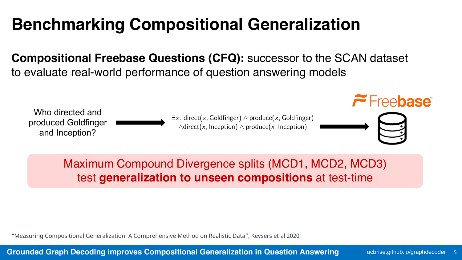# **Benchmarking Compositional Generalization**

**Compositional Freebase Questions (CFQ):** successor to the SCAN dataset to evaluate real-world performance of question answering models

Who directed and produced Goldfinger and Inception?





#### Maximum Compound Divergence splits (MCD1, MCD2, MCD3) test **generalization to unseen compositions** at test-time

"Measuring Compositional Generalization: A Comprehensive Method on Realistic Data", Keysers et al 2020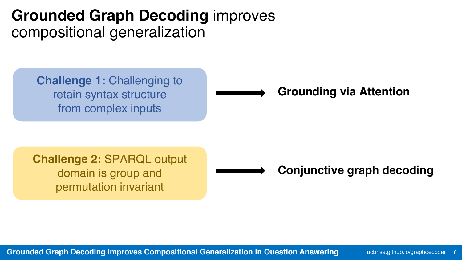# **Grounded Graph Decoding** improves compositional generalization

**Challenge 1: Challenging to** retain syntax structure from complex inputs

#### **Grounding via Attention**

**Challenge 2:** SPARQL output domain is group and permutation invariant

**Conjunctive graph decoding**

**Grounded Graph Decoding improves Compositional Generalization in Question Answering The Analytic Analytic Agraphdecoder 6**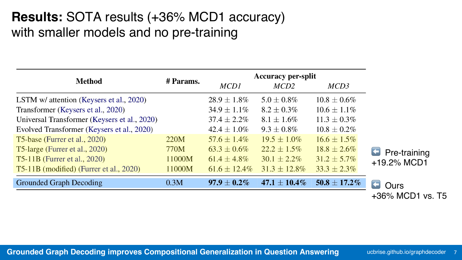#### **Results:** SOTA results (+36% MCD1 accuracy) with smaller models and no pre-training

| <b>Method</b>                                | # Params. | <b>Accuracy per-split</b> |                   |                   |                       |
|----------------------------------------------|-----------|---------------------------|-------------------|-------------------|-----------------------|
|                                              |           | MCD1                      | MCD2              | MCD3              |                       |
| LSTM w/ attention (Keysers et al., 2020)     |           | $28.9 \pm 1.8\%$          | $5.0 \pm 0.8\%$   | $10.8 \pm 0.6 \%$ |                       |
| Transformer (Keysers et al., 2020)           |           | $34.9 \pm 1.1\%$          | $8.2 \pm 0.3\%$   | $10.6 \pm 1.1\%$  |                       |
| Universal Transformer (Keysers et al., 2020) |           | $37.4 \pm 2.2\%$          | $8.1 \pm 1.6\%$   | $11.3 \pm 0.3\%$  |                       |
| Evolved Transformer (Keysers et al., 2020)   |           | $42.4 \pm 1.0\%$          | $9.3 \pm 0.8\%$   | $10.8 \pm 0.2\%$  |                       |
| T5-base (Furrer et al., 2020)                | 220M      | $57.6 \pm 1.4\%$          | $19.5 \pm 1.0\%$  | $16.6 \pm 1.5\%$  |                       |
| T5-large (Furrer et al., 2020)               | 770M      | $63.3 \pm 0.6\%$          | $22.2 \pm 1.5\%$  | $18.8 \pm 2.6\%$  | <b>F</b> Pre-training |
| <b>T5-11B</b> (Furrer et al., 2020)          | 11000M    | $61.4 \pm 4.8\%$          | $30.1 \pm 2.2\%$  | $31.2 \pm 5.7\%$  | +19.2% MCD1           |
| T5-11B (modified) (Furrer et al., 2020)      | 11000M    | $61.6 \pm 12.4\%$         | $31.3 \pm 12.8\%$ | $33.3 \pm 2.3\%$  |                       |
| <b>Grounded Graph Decoding</b>               | 0.3M      | $97.9 \pm 0.2\%$          | $47.1 \pm 10.4\%$ | $50.8 \pm 17.2\%$ | Ours                  |

**Ours** +36% MCD1 vs. T5